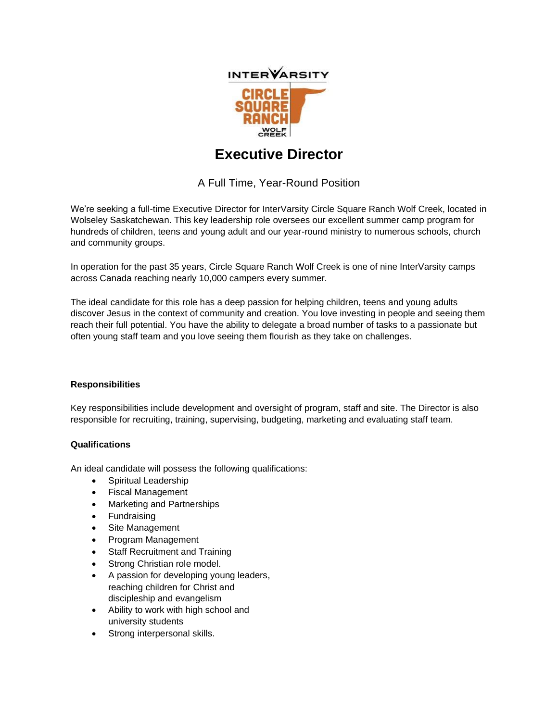

## **Executive Director**

A Full Time, Year-Round Position

We're seeking a full-time Executive Director for InterVarsity Circle Square Ranch Wolf Creek, located in Wolseley Saskatchewan. This key leadership role oversees our excellent summer camp program for hundreds of children, teens and young adult and our year-round ministry to numerous schools, church and community groups.

In operation for the past 35 years, Circle Square Ranch Wolf Creek is one of nine InterVarsity camps across Canada reaching nearly 10,000 campers every summer.

The ideal candidate for this role has a deep passion for helping children, teens and young adults discover Jesus in the context of community and creation. You love investing in people and seeing them reach their full potential. You have the ability to delegate a broad number of tasks to a passionate but often young staff team and you love seeing them flourish as they take on challenges.

## **Responsibilities**

Key responsibilities include development and oversight of program, staff and site. The Director is also responsible for recruiting, training, supervising, budgeting, marketing and evaluating staff team.

## **Qualifications**

An ideal candidate will possess the following qualifications:

- Spiritual Leadership
- Fiscal Management
- Marketing and Partnerships
- Fundraising
- Site Management
- Program Management
- **Staff Recruitment and Training**
- Strong Christian role model.
- A passion for developing young leaders, reaching children for Christ and discipleship and evangelism
- Ability to work with high school and university students
- Strong interpersonal skills.